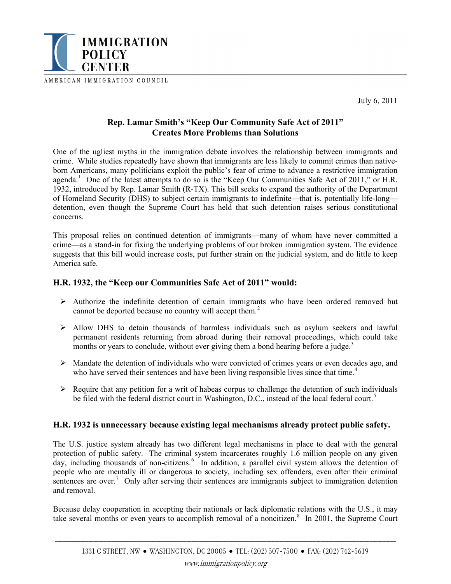

AMERICAN IMMIGRATION COUNCIL

July 6, 2011

# **Rep. Lamar Smith's "Keep Our Community Safe Act of 2011" Creates More Problems than Solutions**

One of the ugliest myths in the immigration debate involves the relationship between immigrants and crime. While studies repeatedly have shown that immigrants are less likely to commit crimes than nativeborn Americans, many politicians exploit the public's fear of crime to advance a restrictive immigration agenda.<sup>[1](#page-2-0)</sup> One of the latest attempts to do so is the "Keep Our Communities Safe Act of 2011," or H.R. 1932, introduced by Rep. Lamar Smith (R-TX). This bill seeks to expand the authority of the Department of Homeland Security (DHS) to subject certain immigrants to indefinite—that is, potentially life-long detention, even though the Supreme Court has held that such detention raises serious constitutional concerns.

This proposal relies on continued detention of immigrants—many of whom have never committed a crime—as a stand-in for fixing the underlying problems of our broken immigration system. The evidence suggests that this bill would increase costs, put further strain on the judicial system, and do little to keep America safe.

# **H.R. 1932, the "Keep our Communities Safe Act of 2011" would:**

- $\geq$  Authorize the indefinite detention of certain immigrants who have been ordered removed but cannot be deported because no country will accept them.<sup>[2](#page-2-1)</sup>
- $\triangleright$  Allow DHS to detain thousands of harmless individuals such as asylum seekers and lawful permanent residents returning from abroad during their removal proceedings, which could take months or years to conclude, without ever giving them a bond hearing before a judge.<sup>[3](#page-2-1)</sup>
- $\triangleright$  Mandate the detention of individuals who were convicted of crimes years or even decades ago, and who have served their sentences and have been living responsible lives since that time.<sup>[4](#page-2-1)</sup>
- $\triangleright$  Require that any petition for a writ of habeas corpus to challenge the detention of such individuals be filed with the federal district court in Washington, D.C., instead of the local federal court.<sup>[5](#page-2-1)</sup>

# **H.R. 1932 is unnecessary because existing legal mechanisms already protect public safety.**

The U.S. justice system already has two different legal mechanisms in place to deal with the general protection of public safety. The criminal system incarcerates roughly 1.6 million people on any given day, including thousands of non-citizens.<sup>[6](#page-2-1)</sup> In addition, a parallel civil system allows the detention of people who are mentally ill or dangerous to society, including sex offenders, even after their criminal sentences are over.<sup>[7](#page-2-1)</sup> Only after serving their sentences are immigrants subject to immigration detention and removal.

Because delay cooperation in accepting their nationals or lack diplomatic relations with the U.S., it may take several months or even years to accomplish removal of a noncitizen.<sup>[8](#page-2-1)</sup> In 2001, the Supreme Court

\_\_\_\_\_\_\_\_\_\_\_\_\_\_\_\_\_\_\_\_\_\_\_\_\_\_\_\_\_\_\_\_\_\_\_\_\_\_\_\_\_\_\_\_\_\_\_\_\_\_\_\_\_\_\_\_\_\_\_\_\_\_\_\_\_\_\_\_\_\_\_\_\_\_\_\_\_\_\_\_\_\_\_\_\_\_\_\_\_\_\_\_\_\_\_\_\_\_\_\_\_\_\_\_\_\_\_\_\_\_\_\_\_\_\_\_\_\_\_\_\_\_\_\_\_\_\_\_\_\_\_\_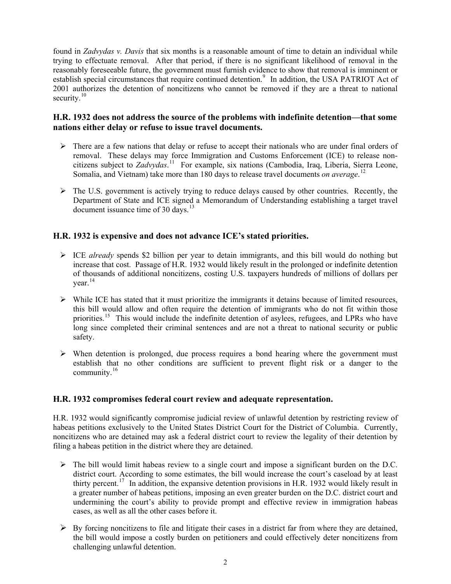found in *Zadvydas v. Davis* that six months is a reasonable amount of time to detain an individual while trying to effectuate removal. After that period, if there is no significant likelihood of removal in the reasonably foreseeable future, the government must furnish evidence to show that removal is imminent or establish special circumstances that require continued detention.<sup>[9](#page-2-1)</sup> In addition, the USA PATRIOT Act of 2001 authorizes the detention of noncitizens who cannot be removed if they are a threat to national security.<sup>[10](#page-2-1)</sup>

### **H.R. 1932 does not address the source of the problems with indefinite detention—that some nations either delay or refuse to issue travel documents.**

- ¾ There are a few nations that delay or refuse to accept their nationals who are under final orders of removal. These delays may force Immigration and Customs Enforcement (ICE) to release noncitizens subject to *Zadvydas*. [11](#page-2-1) For example, six nations (Cambodia, Iraq, Liberia, Sierra Leone, Somalia, and Vietnam) take more than 180 days to release travel documents *on average*. [12](#page-2-1)
- ¾ The U.S. government is actively trying to reduce delays caused by other countries. Recently, the Department of State and ICE signed a Memorandum of Understanding establishing a target travel document issuance time of 30 days.<sup>[13](#page-2-1)</sup>

# **H.R. 1932 is expensive and does not advance ICE's stated priorities.**

- ¾ ICE *already* spends \$2 billion per year to detain immigrants, and this bill would do nothing but increase that cost. Passage of H.R. 1932 would likely result in the prolonged or indefinite detention of thousands of additional noncitizens, costing U.S. taxpayers hundreds of millions of dollars per vear. $14$
- ¾ While ICE has stated that it must prioritize the immigrants it detains because of limited resources, this bill would allow and often require the detention of immigrants who do not fit within those priorities.<sup>[15](#page-2-1)</sup> This would include the indefinite detention of asylees, refugees, and LPRs who have long since completed their criminal sentences and are not a threat to national security or public safety.
- $\triangleright$  When detention is prolonged, due process requires a bond hearing where the government must establish that no other conditions are sufficient to prevent flight risk or a danger to the community.<sup>[16](#page-2-1)</sup>

# **H.R. 1932 compromises federal court review and adequate representation.**

H.R. 1932 would significantly compromise judicial review of unlawful detention by restricting review of habeas petitions exclusively to the United States District Court for the District of Columbia. Currently, noncitizens who are detained may ask a federal district court to review the legality of their detention by filing a habeas petition in the district where they are detained.

- $\triangleright$  The bill would limit habeas review to a single court and impose a significant burden on the D.C. district court. According to some estimates, the bill would increase the court's caseload by at least thirty percent.<sup>[17](#page-2-1)</sup> In addition, the expansive detention provisions in H.R. 1932 would likely result in a greater number of habeas petitions, imposing an even greater burden on the D.C. district court and undermining the court's ability to provide prompt and effective review in immigration habeas cases, as well as all the other cases before it.
- $\triangleright$  By forcing noncitizens to file and litigate their cases in a district far from where they are detained, the bill would impose a costly burden on petitioners and could effectively deter noncitizens from challenging unlawful detention.